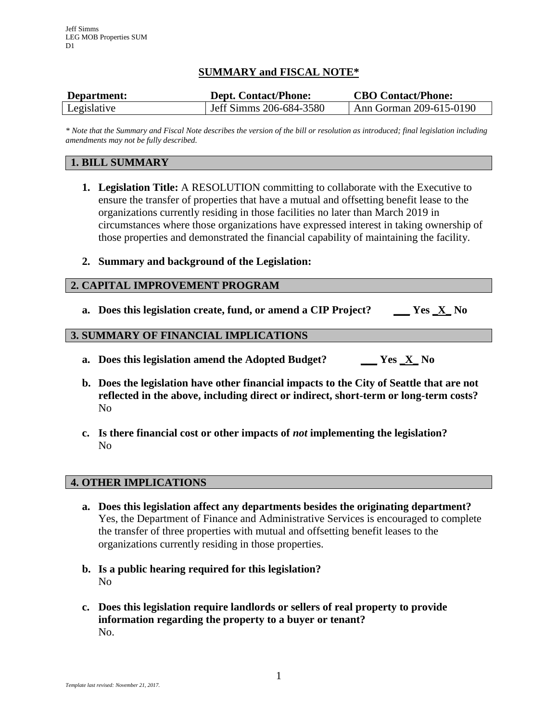# **SUMMARY and FISCAL NOTE\***

| Department: | <b>Dept. Contact/Phone:</b> | <b>CBO Contact/Phone:</b> |
|-------------|-----------------------------|---------------------------|
| Legislative | Jeff Simms 206-684-3580     | Ann Gorman 209-615-0190   |

*\* Note that the Summary and Fiscal Note describes the version of the bill or resolution as introduced; final legislation including amendments may not be fully described.*

### **1. BILL SUMMARY**

- **1. Legislation Title:** A RESOLUTION committing to collaborate with the Executive to ensure the transfer of properties that have a mutual and offsetting benefit lease to the organizations currently residing in those facilities no later than March 2019 in circumstances where those organizations have expressed interest in taking ownership of those properties and demonstrated the financial capability of maintaining the facility.
- **2. Summary and background of the Legislation:**

#### **2. CAPITAL IMPROVEMENT PROGRAM**

**a. Does this legislation create, fund, or amend a CIP Project? \_\_\_ Yes \_X\_ No**

### **3. SUMMARY OF FINANCIAL IMPLICATIONS**

- **a. Does this legislation amend the Adopted Budget? \_\_\_ Yes \_X\_ No**
- **b. Does the legislation have other financial impacts to the City of Seattle that are not reflected in the above, including direct or indirect, short-term or long-term costs?** No
- **c. Is there financial cost or other impacts of** *not* **implementing the legislation?** No

#### **4. OTHER IMPLICATIONS**

- **a. Does this legislation affect any departments besides the originating department?** Yes, the Department of Finance and Administrative Services is encouraged to complete the transfer of three properties with mutual and offsetting benefit leases to the organizations currently residing in those properties.
- **b. Is a public hearing required for this legislation?** No
- **c. Does this legislation require landlords or sellers of real property to provide information regarding the property to a buyer or tenant?** No.